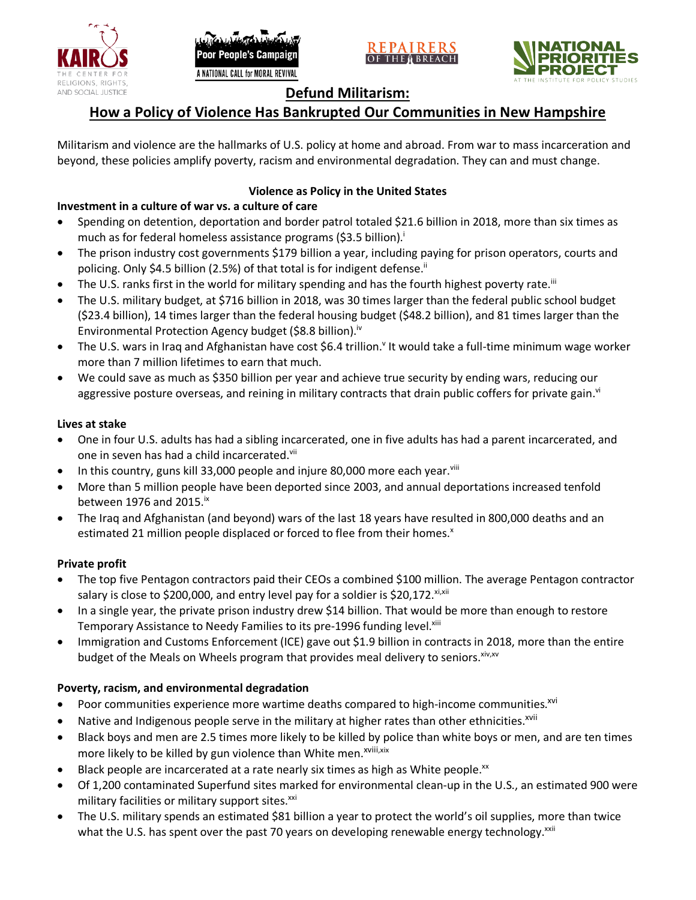





# **Defund Militarism:**

# **How a Policy of Violence Has Bankrupted Our Communities in New Hampshire**

Militarism and violence are the hallmarks of U.S. policy at home and abroad. From war to mass incarceration and beyond, these policies amplify poverty, racism and environmental degradation. They can and must change.

## **Violence as Policy in the United States**

# **Investment in a culture of war vs. a culture of care**

- Spending on detention, deportation and border patrol totaled \$21.6 billion in 2018, more than six times as much as for federal homeless assistance programs (\$3.5 billion).<sup>i</sup>
- The prison industry cost governments \$179 billion a year, including paying for prison operators, courts and policing. Only \$4.5 billion (2.5%) of that total is for indigent defense.<sup>ii</sup>
- The U.S. ranks first in the world for military spending and has the fourth highest poverty rate.<sup>iii</sup>
- The U.S. military budget, at \$716 billion in 2018, was 30 times larger than the federal public school budget (\$23.4 billion), 14 times larger than the federal housing budget (\$48.2 billion), and 81 times larger than the Environmental Protection Agency budget (\$8.8 billion).<sup>iv</sup>
- The U.S. wars in Iraq and Afghanistan have cost \$6.4 trillion.<sup>v</sup> It would take a full-time minimum wage worker more than 7 million lifetimes to earn that much.
- We could save as much as \$350 billion per year and achieve true security by ending wars, reducing our aggressive posture overseas, and reining in military contracts that drain public coffers for private gain.<sup>vi</sup>

### **Lives at stake**

- One in four U.S. adults has had a sibling incarcerated, one in five adults has had a parent incarcerated, and one in seven has had a child incarcerated.vii
- In this country, guns kill 33,000 people and injure 80,000 more each year. $v_{\text{lin}}$
- More than 5 million people have been deported since 2003, and annual deportations increased tenfold between 1976 and 2015. $\mathrm{i}$ <sup>x</sup>
- The Iraq and Afghanistan (and beyond) wars of the last 18 years have resulted in 800,000 deaths and an estimated 21 million people displaced or forced to flee from their homes.<sup>x</sup>

#### **Private profit**

- The top five Pentagon contractors paid their CEOs a combined \$100 million. The average Pentagon contractor salary is close to \$200,000, and entry level pay for a soldier is \$20,172. xi,xii
- In a single year, the private prison industry drew \$14 billion. That would be more than enough to restore Temporary Assistance to Needy Families to its pre-1996 funding level.<sup>xiii</sup>
- Immigration and Customs Enforcement (ICE) gave out \$1.9 billion in contracts in 2018, more than the entire budget of the Meals on Wheels program that provides meal delivery to seniors. Xiv, XV

## **Poverty, racism, and environmental degradation**

- Poor communities experience more wartime deaths compared to high-income communities.<sup>xvi</sup>
- Native and Indigenous people serve in the military at higher rates than other ethnicities.<sup>xvii</sup>
- Black boys and men are 2.5 times more likely to be killed by police than white boys or men, and are ten times more likely to be killed by gun violence than White men.<sup>xviii,xix</sup>
- Black people are incarcerated at a rate nearly six times as high as White people.<sup>xx</sup>
- Of 1,200 contaminated Superfund sites marked for environmental clean-up in the U.S., an estimated 900 were military facilities or military support sites.<sup>xxi</sup>
- The U.S. military spends an estimated \$81 billion a year to protect the world's oil supplies, more than twice what the U.S. has spent over the past 70 years on developing renewable energy technology.<sup>xxii</sup>